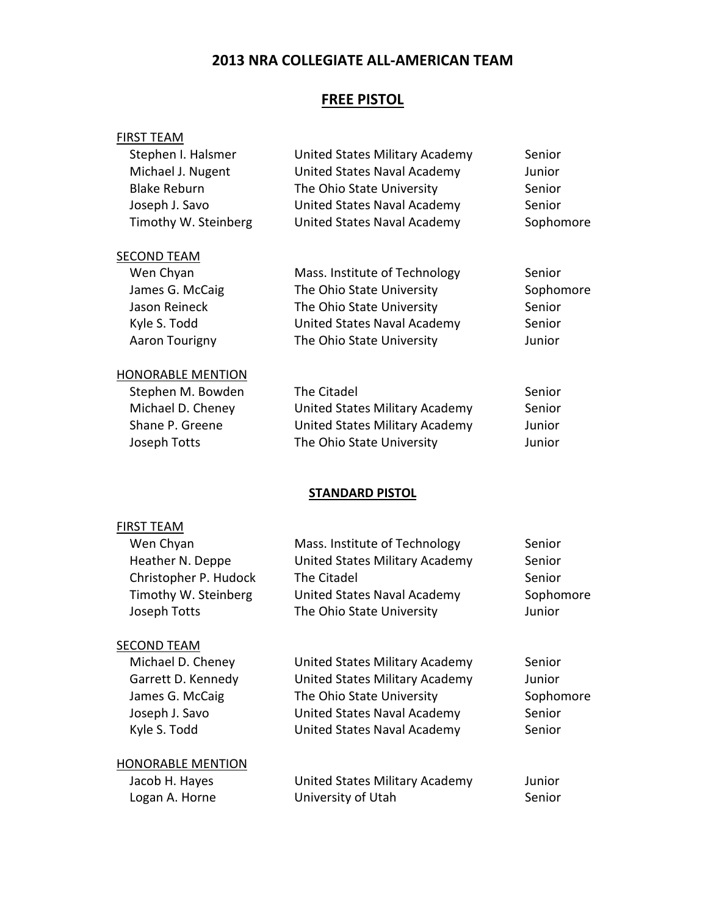## 2013 NRA COLLEGIATE ALL-AMERICAN TEAM

### FREE PISTOL

#### FIRST TEAM

| Stephen I. Halsmer       | United States Military Academy | Senior    |
|--------------------------|--------------------------------|-----------|
| Michael J. Nugent        | United States Naval Academy    | Junior    |
| <b>Blake Reburn</b>      | The Ohio State University      | Senior    |
| Joseph J. Savo           | United States Naval Academy    | Senior    |
| Timothy W. Steinberg     | United States Naval Academy    | Sophomore |
| <b>SECOND TEAM</b>       |                                |           |
| Wen Chyan                | Mass. Institute of Technology  | Senior    |
| James G. McCaig          | The Ohio State University      | Sophomore |
| Jason Reineck            | The Ohio State University      | Senior    |
| Kyle S. Todd             | United States Naval Academy    | Senior    |
| Aaron Tourigny           | The Ohio State University      | Junior    |
| <b>HONORABLE MENTION</b> |                                |           |

| Stephen M. Bowden | The Citadel                    | Senior |
|-------------------|--------------------------------|--------|
| Michael D. Cheney | United States Military Academy | Senior |
| Shane P. Greene   | United States Military Academy | Junior |
| Joseph Totts      | The Ohio State University      | Junior |

### STANDARD PISTOL

# FIRST TEAM

| Wen Chyan                | Mass. Institute of Technology  | Senior    |
|--------------------------|--------------------------------|-----------|
| Heather N. Deppe         | United States Military Academy | Senior    |
| Christopher P. Hudock    | The Citadel                    | Senior    |
| Timothy W. Steinberg     | United States Naval Academy    | Sophomore |
| Joseph Totts             | The Ohio State University      | Junior    |
| <b>SECOND TEAM</b>       |                                |           |
| Michael D. Cheney        | United States Military Academy | Senior    |
| Garrett D. Kennedy       | United States Military Academy | Junior    |
| James G. McCaig          | The Ohio State University      | Sophomore |
| Joseph J. Savo           | United States Naval Academy    | Senior    |
| Kyle S. Todd             | United States Naval Academy    | Senior    |
| <b>HONORABLE MENTION</b> |                                |           |
| Jacob H. Hayes           | United States Military Academy | Junior    |
| Logan A. Horne           | University of Utah             | Senior    |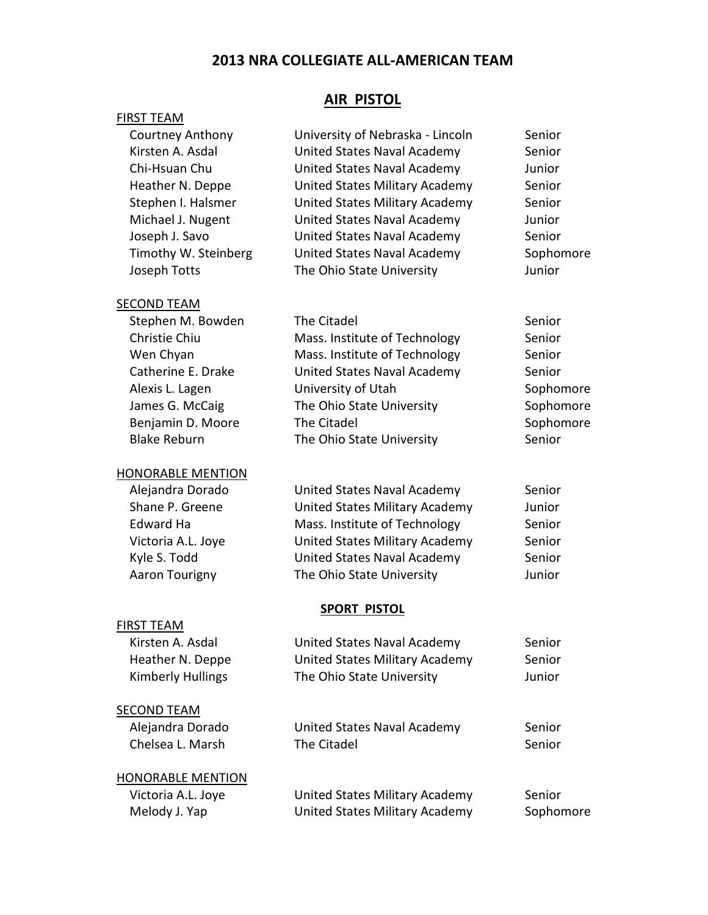# 2013 NRA COLLEGIATE ALL-AMERICAN TEAM

### FIRST TEAM

### AIR PISTOL

| <b>Courtney Anthony</b>  | University of Nebraska - Lincoln      | Senior    |
|--------------------------|---------------------------------------|-----------|
| Kirsten A. Asdal         | United States Naval Academy           | Senior    |
| Chi-Hsuan Chu            | United States Naval Academy           | Junior    |
| Heather N. Deppe         | <b>United States Military Academy</b> | Senior    |
| Stephen I. Halsmer       | <b>United States Military Academy</b> | Senior    |
| Michael J. Nugent        | United States Naval Academy           | Junior    |
| Joseph J. Savo           | United States Naval Academy           | Senior    |
| Timothy W. Steinberg     | United States Naval Academy           | Sophomore |
| Joseph Totts             | The Ohio State University             | Junior    |
| <b>SECOND TEAM</b>       |                                       |           |
| Stephen M. Bowden        | The Citadel                           | Senior    |
| Christie Chiu            | Mass. Institute of Technology         | Senior    |
| Wen Chyan                | Mass. Institute of Technology         | Senior    |
| Catherine E. Drake       | United States Naval Academy           | Senior    |
| Alexis L. Lagen          | University of Utah                    | Sophomore |
| James G. McCaig          | The Ohio State University             | Sophomore |
| Benjamin D. Moore        | The Citadel                           | Sophomore |
| <b>Blake Reburn</b>      | The Ohio State University             | Senior    |
| <b>HONORABLE MENTION</b> |                                       |           |
| Alejandra Dorado         | United States Naval Academy           | Senior    |
| Shane P. Greene          | <b>United States Military Academy</b> | Junior    |
| Edward Ha                | Mass. Institute of Technology         | Senior    |
| Victoria A.L. Joye       | <b>United States Military Academy</b> | Senior    |
| Kyle S. Todd             | United States Naval Academy           | Senior    |
| Aaron Tourigny           | The Ohio State University             | Junior    |
|                          | <b>SPORT PISTOL</b>                   |           |
| <b>FIRST TEAM</b>        |                                       |           |
| Kirsten A. Asdal         | United States Naval Academy           | Senior    |
| Heather N. Deppe         | <b>United States Military Academy</b> | Senior    |
| <b>Kimberly Hullings</b> | The Ohio State University             | Junior    |
| <b>SECOND TEAM</b>       |                                       |           |
| Alejandra Dorado         | United States Naval Academy           | Senior    |
| Chelsea L. Marsh         | The Citadel                           | Senior    |
| <b>HONORABLE MENTION</b> |                                       |           |
| Victoria A.L. Joye       | United States Military Academy        | Senior    |
| Melody J. Yap            | United States Military Academy        | Sophomore |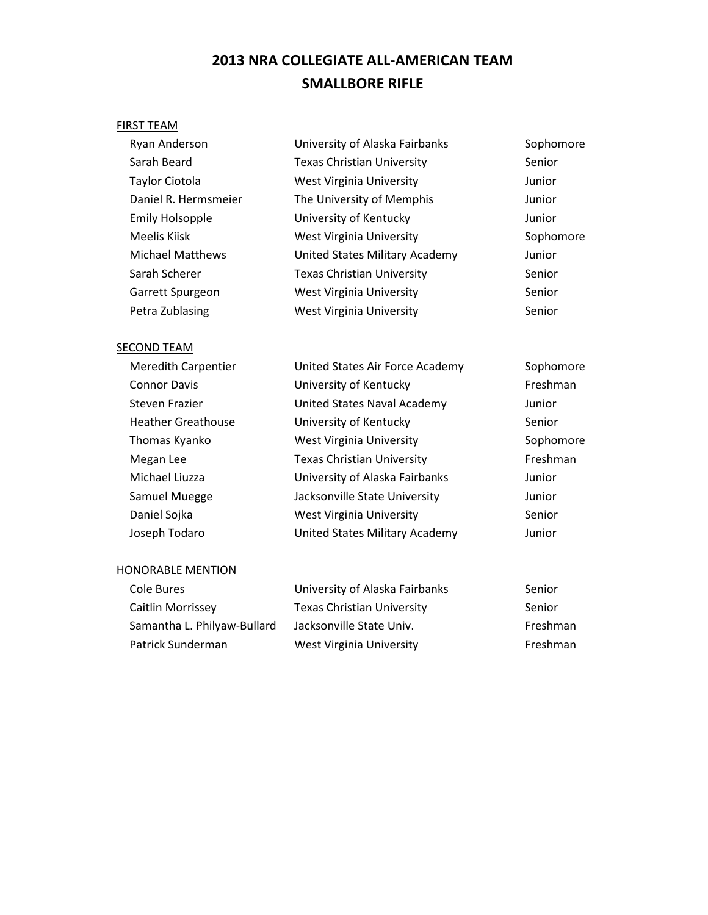# 2013 NRA COLLEGIATE ALL-AMERICAN TEAM SMALLBORE RIFLE

### FIRST TEAM

| Ryan Anderson           | University of Alaska Fairbanks    | Sophomore |
|-------------------------|-----------------------------------|-----------|
| Sarah Beard             | <b>Texas Christian University</b> | Senior    |
| Taylor Ciotola          | <b>West Virginia University</b>   | Junior    |
| Daniel R. Hermsmeier    | The University of Memphis         | Junior    |
| <b>Emily Holsopple</b>  | University of Kentucky            | Junior    |
| Meelis Kiisk            | <b>West Virginia University</b>   | Sophomore |
| <b>Michael Matthews</b> | United States Military Academy    | Junior    |
| Sarah Scherer           | <b>Texas Christian University</b> | Senior    |
| Garrett Spurgeon        | <b>West Virginia University</b>   | Senior    |
| Petra Zublasing         | West Virginia University          | Senior    |
|                         |                                   |           |

### SECOND TEAM

| <b>Meredith Carpentier</b> | United States Air Force Academy   | Sophomore |
|----------------------------|-----------------------------------|-----------|
| <b>Connor Davis</b>        | University of Kentucky            | Freshman  |
| Steven Frazier             | United States Naval Academy       | Junior    |
| <b>Heather Greathouse</b>  | University of Kentucky            | Senior    |
| Thomas Kyanko              | <b>West Virginia University</b>   | Sophomore |
| Megan Lee                  | <b>Texas Christian University</b> | Freshman  |
| Michael Liuzza             | University of Alaska Fairbanks    | Junior    |
| Samuel Muegge              | Jacksonville State University     | Junior    |
| Daniel Sojka               | <b>West Virginia University</b>   | Senior    |
| Joseph Todaro              | United States Military Academy    | Junior    |

#### HONORABLE MENTION

| Cole Bures                  | University of Alaska Fairbanks    | Senior   |
|-----------------------------|-----------------------------------|----------|
| Caitlin Morrissey           | <b>Texas Christian University</b> | Senior   |
| Samantha L. Philyaw-Bullard | Jacksonville State Univ.          | Freshman |
| Patrick Sunderman           | West Virginia University          | Freshman |
|                             |                                   |          |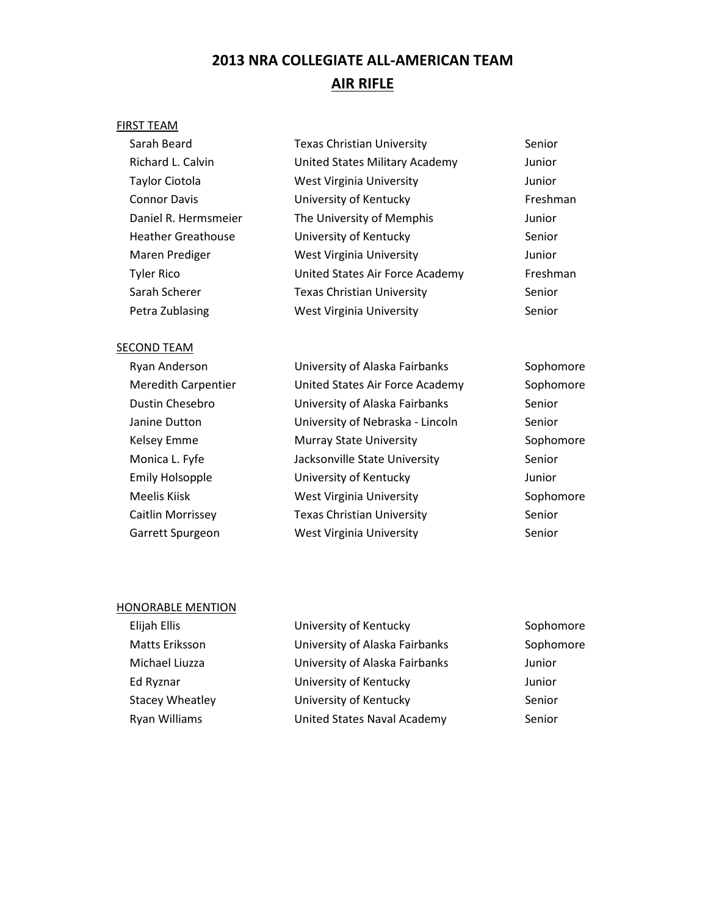# 2013 NRA COLLEGIATE ALL-AMERICAN TEAM AIR RIFLE

### FIRST TEAM

| Sarah Beard               | <b>Texas Christian University</b>     | Senior   |
|---------------------------|---------------------------------------|----------|
| Richard L. Calvin         | <b>United States Military Academy</b> | Junior   |
| <b>Taylor Ciotola</b>     | <b>West Virginia University</b>       | Junior   |
| <b>Connor Davis</b>       | University of Kentucky                | Freshman |
| Daniel R. Hermsmeier      | The University of Memphis             | Junior   |
| <b>Heather Greathouse</b> | University of Kentucky                | Senior   |
| Maren Prediger            | <b>West Virginia University</b>       | Junior   |
| <b>Tyler Rico</b>         | United States Air Force Academy       | Freshman |
| Sarah Scherer             | <b>Texas Christian University</b>     | Senior   |
| Petra Zublasing           | <b>West Virginia University</b>       | Senior   |
|                           |                                       |          |

### SECOND TEAM

| Ryan Anderson              | University of Alaska Fairbanks    | Sophomore |
|----------------------------|-----------------------------------|-----------|
| <b>Meredith Carpentier</b> | United States Air Force Academy   | Sophomore |
| Dustin Chesebro            | University of Alaska Fairbanks    | Senior    |
| Janine Dutton              | University of Nebraska - Lincoln  | Senior    |
| Kelsey Emme                | <b>Murray State University</b>    | Sophomore |
| Monica L. Fyfe             | Jacksonville State University     | Senior    |
| <b>Emily Holsopple</b>     | University of Kentucky            | Junior    |
| Meelis Kiisk               | <b>West Virginia University</b>   | Sophomore |
| Caitlin Morrissey          | <b>Texas Christian University</b> | Senior    |
| Garrett Spurgeon           | <b>West Virginia University</b>   | Senior    |
|                            |                                   |           |

#### HONORABLE MENTION

| Elijah Ellis           | University of Kentucky         | Sophomore |
|------------------------|--------------------------------|-----------|
| Matts Eriksson         | University of Alaska Fairbanks | Sophomore |
| Michael Liuzza         | University of Alaska Fairbanks | Junior    |
| Ed Ryznar              | University of Kentucky         | Junior    |
| <b>Stacey Wheatley</b> | University of Kentucky         | Senior    |
| Ryan Williams          | United States Naval Academy    | Senior    |
|                        |                                |           |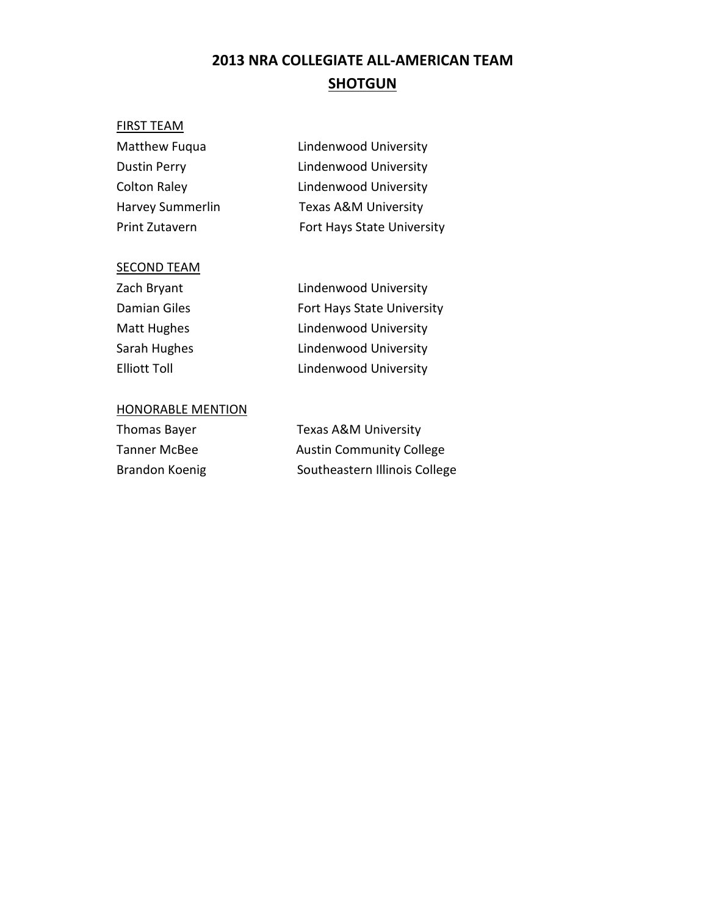# 2013 NRA COLLEGIATE ALL-AMERICAN TEAM **SHOTGUN**

### FIRST TEAM

| Lindenwood University           |
|---------------------------------|
| Lindenwood University           |
| Lindenwood University           |
| <b>Texas A&amp;M University</b> |
| Fort Hays State University      |
|                                 |

### SECOND TEAM

| Zach Bryant  | Lindenwood University      |
|--------------|----------------------------|
| Damian Giles | Fort Hays State University |
| Matt Hughes  | Lindenwood University      |
| Sarah Hughes | Lindenwood University      |
| Elliott Toll | Lindenwood University      |

### HONORABLE MENTION

| Thomas Bayer   | Texas A&M University            |
|----------------|---------------------------------|
| Tanner McBee   | <b>Austin Community College</b> |
| Brandon Koenig | Southeastern Illinois College   |